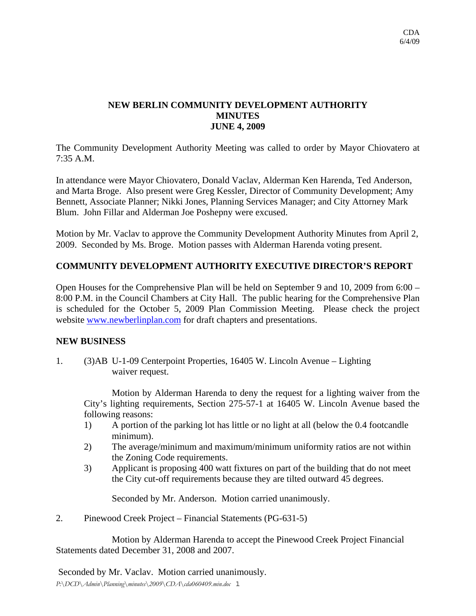## **NEW BERLIN COMMUNITY DEVELOPMENT AUTHORITY MINUTES JUNE 4, 2009**

The Community Development Authority Meeting was called to order by Mayor Chiovatero at 7:35 A.M.

In attendance were Mayor Chiovatero, Donald Vaclav, Alderman Ken Harenda, Ted Anderson, and Marta Broge. Also present were Greg Kessler, Director of Community Development; Amy Bennett, Associate Planner; Nikki Jones, Planning Services Manager; and City Attorney Mark Blum. John Fillar and Alderman Joe Poshepny were excused.

Motion by Mr. Vaclav to approve the Community Development Authority Minutes from April 2, 2009. Seconded by Ms. Broge. Motion passes with Alderman Harenda voting present.

## **COMMUNITY DEVELOPMENT AUTHORITY EXECUTIVE DIRECTOR'S REPORT**

Open Houses for the Comprehensive Plan will be held on September 9 and 10, 2009 from 6:00 – 8:00 P.M. in the Council Chambers at City Hall. The public hearing for the Comprehensive Plan is scheduled for the October 5, 2009 Plan Commission Meeting. Please check the project website [www.newberlinplan.com](http://www.newberlinplan.com/) for draft chapters and presentations.

## **NEW BUSINESS**

1. (3)AB U-1-09 Centerpoint Properties, 16405 W. Lincoln Avenue – Lighting waiver request.

 Motion by Alderman Harenda to deny the request for a lighting waiver from the City's lighting requirements, Section 275-57-1 at 16405 W. Lincoln Avenue based the following reasons:

- 1) A portion of the parking lot has little or no light at all (below the 0.4 footcandle minimum).
- 2) The average/minimum and maximum/minimum uniformity ratios are not within the Zoning Code requirements.
- 3) Applicant is proposing 400 watt fixtures on part of the building that do not meet the City cut-off requirements because they are tilted outward 45 degrees.

Seconded by Mr. Anderson. Motion carried unanimously.

2. Pinewood Creek Project – Financial Statements (PG-631-5)

 Motion by Alderman Harenda to accept the Pinewood Creek Project Financial Statements dated December 31, 2008 and 2007.

*P:\DCD\Admin\Planning\minutes\2009\CDA\cda060409.min.doc* 1 Seconded by Mr. Vaclav. Motion carried unanimously.